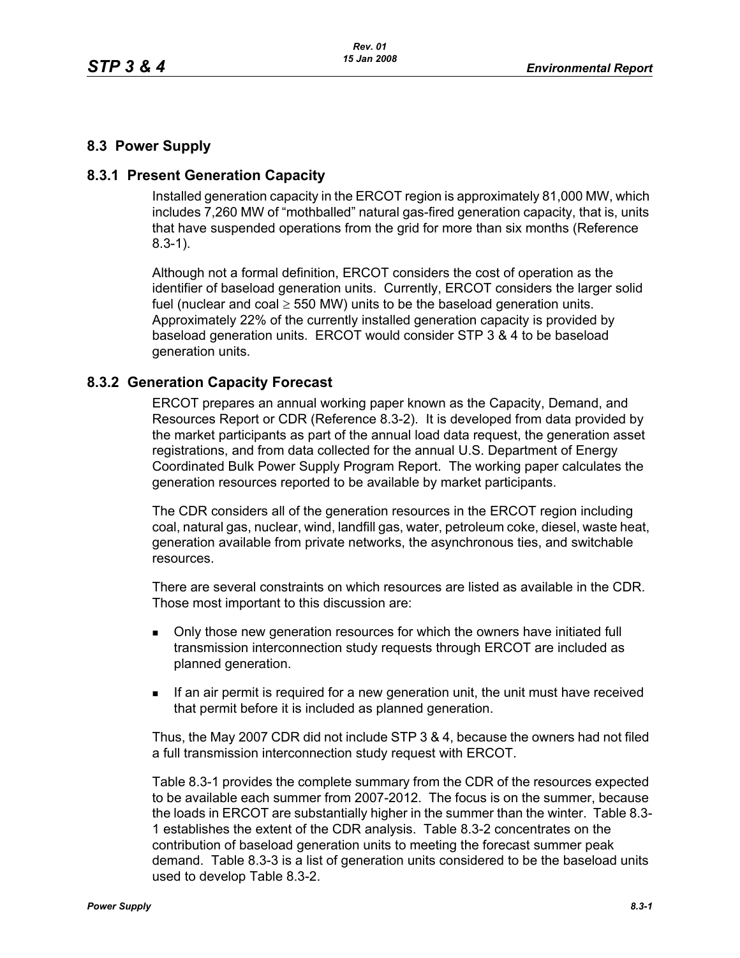## **8.3 Power Supply**

## **8.3.1 Present Generation Capacity**

Installed generation capacity in the ERCOT region is approximately 81,000 MW, which includes 7,260 MW of "mothballed" natural gas-fired generation capacity, that is, units that have suspended operations from the grid for more than six months (Reference 8.3-1).

Although not a formal definition, ERCOT considers the cost of operation as the identifier of baseload generation units. Currently, ERCOT considers the larger solid fuel (nuclear and coal  $\geq$  550 MW) units to be the baseload generation units. Approximately 22% of the currently installed generation capacity is provided by baseload generation units. ERCOT would consider STP 3 & 4 to be baseload generation units.

### **8.3.2 Generation Capacity Forecast**

ERCOT prepares an annual working paper known as the Capacity, Demand, and Resources Report or CDR (Reference 8.3-2). It is developed from data provided by the market participants as part of the annual load data request, the generation asset registrations, and from data collected for the annual U.S. Department of Energy Coordinated Bulk Power Supply Program Report. The working paper calculates the generation resources reported to be available by market participants.

The CDR considers all of the generation resources in the ERCOT region including coal, natural gas, nuclear, wind, landfill gas, water, petroleum coke, diesel, waste heat, generation available from private networks, the asynchronous ties, and switchable resources.

There are several constraints on which resources are listed as available in the CDR. Those most important to this discussion are:

- **Drankler in Solvet** over a only those new generation resources for which the owners have initiated full transmission interconnection study requests through ERCOT are included as planned generation.
- If an air permit is required for a new generation unit, the unit must have received that permit before it is included as planned generation.

Thus, the May 2007 CDR did not include STP 3 & 4, because the owners had not filed a full transmission interconnection study request with ERCOT.

Table 8.3-1 provides the complete summary from the CDR of the resources expected to be available each summer from 2007-2012. The focus is on the summer, because the loads in ERCOT are substantially higher in the summer than the winter. Table 8.3- 1 establishes the extent of the CDR analysis. Table 8.3-2 concentrates on the contribution of baseload generation units to meeting the forecast summer peak demand. Table 8.3-3 is a list of generation units considered to be the baseload units used to develop Table 8.3-2.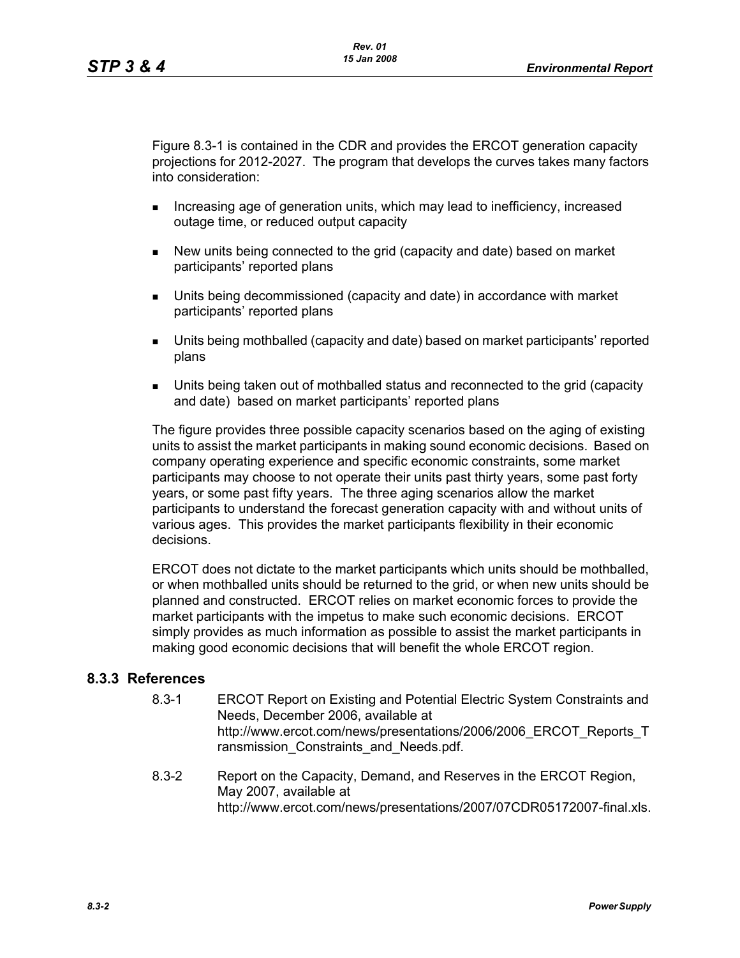Figure 8.3-1 is contained in the CDR and provides the ERCOT generation capacity projections for 2012-2027. The program that develops the curves takes many factors into consideration:

- **Increasing age of generation units, which may lead to inefficiency, increased** outage time, or reduced output capacity
- New units being connected to the grid (capacity and date) based on market participants' reported plans
- Units being decommissioned (capacity and date) in accordance with market participants' reported plans
- Units being mothballed (capacity and date) based on market participants' reported plans
- Units being taken out of mothballed status and reconnected to the grid (capacity and date) based on market participants' reported plans

The figure provides three possible capacity scenarios based on the aging of existing units to assist the market participants in making sound economic decisions. Based on company operating experience and specific economic constraints, some market participants may choose to not operate their units past thirty years, some past forty years, or some past fifty years. The three aging scenarios allow the market participants to understand the forecast generation capacity with and without units of various ages. This provides the market participants flexibility in their economic decisions.

ERCOT does not dictate to the market participants which units should be mothballed, or when mothballed units should be returned to the grid, or when new units should be planned and constructed. ERCOT relies on market economic forces to provide the market participants with the impetus to make such economic decisions. ERCOT simply provides as much information as possible to assist the market participants in making good economic decisions that will benefit the whole ERCOT region.

### **8.3.3 References**

- 8.3-1 ERCOT Report on Existing and Potential Electric System Constraints and Needs, December 2006, available at http://www.ercot.com/news/presentations/2006/2006\_ERCOT\_Reports\_T ransmission Constraints and Needs.pdf.
- 8.3-2 Report on the Capacity, Demand, and Reserves in the ERCOT Region, May 2007, available at http://www.ercot.com/news/presentations/2007/07CDR05172007-final.xls.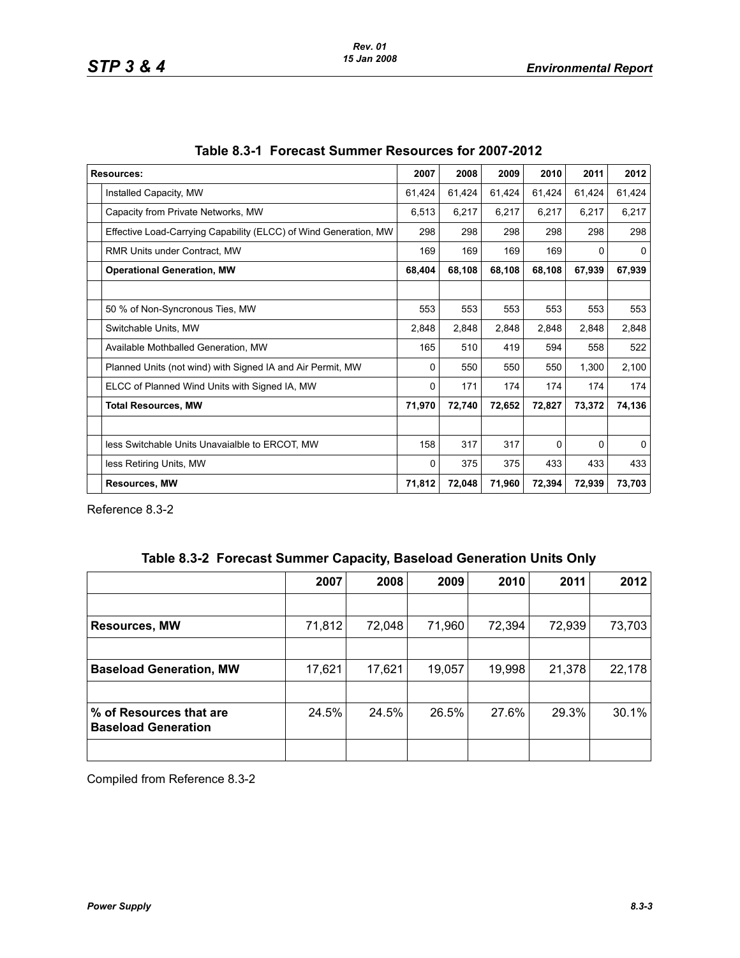| <b>Resources:</b>                                                | 2007   | 2008   | 2009   | 2010   | 2011   | 2012         |
|------------------------------------------------------------------|--------|--------|--------|--------|--------|--------------|
| Installed Capacity, MW                                           | 61,424 | 61,424 | 61,424 | 61,424 | 61,424 | 61,424       |
| Capacity from Private Networks, MW                               | 6,513  | 6,217  | 6,217  | 6,217  | 6,217  | 6,217        |
| Effective Load-Carrying Capability (ELCC) of Wind Generation, MW | 298    | 298    | 298    | 298    | 298    | 298          |
| RMR Units under Contract, MW                                     | 169    | 169    | 169    | 169    | 0      | $\Omega$     |
| <b>Operational Generation, MW</b>                                |        | 68,108 | 68,108 | 68,108 | 67,939 | 67,939       |
|                                                                  |        |        |        |        |        |              |
| 50 % of Non-Syncronous Ties, MW                                  | 553    | 553    | 553    | 553    | 553    | 553          |
| Switchable Units, MW                                             | 2,848  | 2,848  | 2,848  | 2,848  | 2,848  | 2,848        |
| Available Mothballed Generation, MW                              | 165    | 510    | 419    | 594    | 558    | 522          |
| Planned Units (not wind) with Signed IA and Air Permit, MW       | 0      | 550    | 550    | 550    | 1,300  | 2,100        |
| ELCC of Planned Wind Units with Signed IA, MW                    | 0      | 171    | 174    | 174    | 174    | 174          |
| <b>Total Resources, MW</b>                                       | 71,970 | 72,740 | 72,652 | 72,827 | 73,372 | 74,136       |
|                                                                  |        |        |        |        |        |              |
| less Switchable Units Unavaialble to ERCOT, MW                   | 158    | 317    | 317    | 0      | 0      | $\mathbf{0}$ |
| less Retiring Units, MW                                          | 0      | 375    | 375    | 433    | 433    | 433          |
| <b>Resources, MW</b>                                             | 71,812 | 72,048 | 71,960 | 72,394 | 72,939 | 73,703       |

| Table 8.3-1 Forecast Summer Resources for 2007-2012 |  |
|-----------------------------------------------------|--|
|-----------------------------------------------------|--|

Reference 8.3-2

|  | Table 8.3-2 Forecast Summer Capacity, Baseload Generation Units Only |  |  |  |  |
|--|----------------------------------------------------------------------|--|--|--|--|
|--|----------------------------------------------------------------------|--|--|--|--|

|                                | 2007   | 2008   | 2009   | 2010   | 2011   | 2012   |
|--------------------------------|--------|--------|--------|--------|--------|--------|
|                                |        |        |        |        |        |        |
| <b>Resources, MW</b>           | 71,812 | 72,048 | 71,960 | 72,394 | 72,939 | 73,703 |
|                                |        |        |        |        |        |        |
| <b>Baseload Generation, MW</b> | 17,621 | 17,621 | 19,057 | 19,998 | 21,378 | 22,178 |
|                                |        |        |        |        |        |        |
| % of Resources that are        | 24.5%  | 24.5%  | 26.5%  | 27.6%  | 29.3%  | 30.1%  |
| <b>Baseload Generation</b>     |        |        |        |        |        |        |
|                                |        |        |        |        |        |        |

Compiled from Reference 8.3-2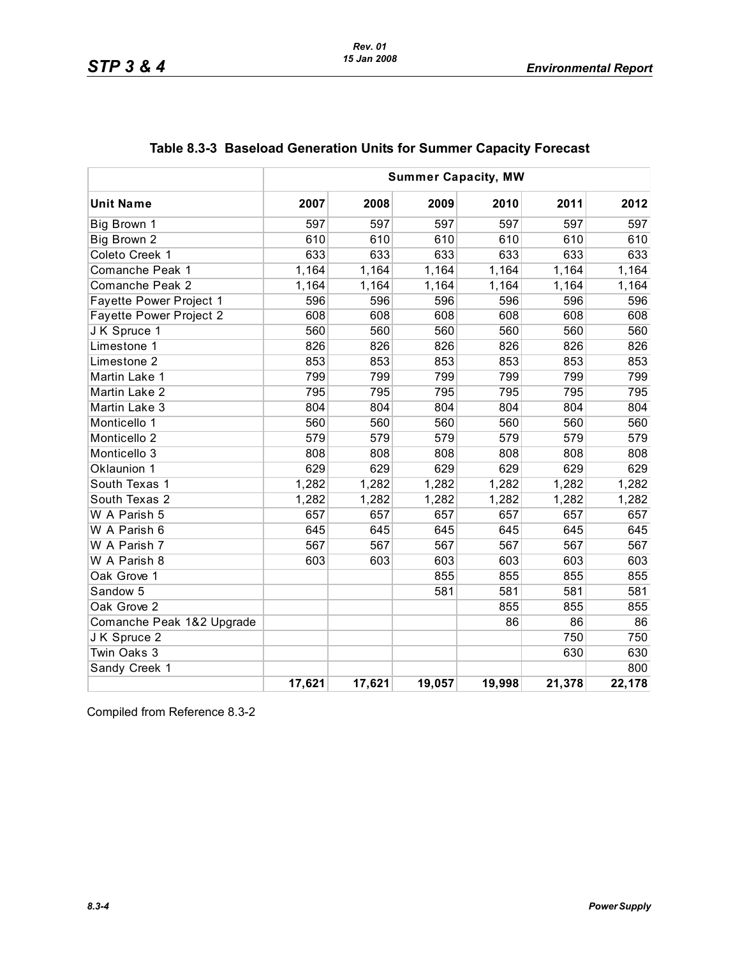|                           | <b>Summer Capacity, MW</b> |        |        |        |        |        |  |
|---------------------------|----------------------------|--------|--------|--------|--------|--------|--|
| <b>Unit Name</b>          | 2007                       | 2008   | 2009   | 2010   | 2011   | 2012   |  |
| Big Brown 1               | 597                        | 597    | 597    | 597    | 597    | 597    |  |
| Big Brown 2               | 610                        | 610    | 610    | 610    | 610    | 610    |  |
| Coleto Creek 1            | 633                        | 633    | 633    | 633    | 633    | 633    |  |
| Comanche Peak 1           | 1,164                      | 1,164  | 1,164  | 1,164  | 1,164  | 1,164  |  |
| Comanche Peak 2           | 1,164                      | 1,164  | 1,164  | 1,164  | 1,164  | 1,164  |  |
| Fayette Power Project 1   | 596                        | 596    | 596    | 596    | 596    | 596    |  |
| Fayette Power Project 2   | 608                        | 608    | 608    | 608    | 608    | 608    |  |
| JK Spruce 1               | 560                        | 560    | 560    | 560    | 560    | 560    |  |
| Limestone 1               | 826                        | 826    | 826    | 826    | 826    | 826    |  |
| Limestone 2               | 853                        | 853    | 853    | 853    | 853    | 853    |  |
| Martin Lake 1             | 799                        | 799    | 799    | 799    | 799    | 799    |  |
| Martin Lake 2             | 795                        | 795    | 795    | 795    | 795    | 795    |  |
| Martin Lake 3             | 804                        | 804    | 804    | 804    | 804    | 804    |  |
| Monticello 1              | 560                        | 560    | 560    | 560    | 560    | 560    |  |
| Monticello 2              | 579                        | 579    | 579    | 579    | 579    | 579    |  |
| Monticello 3              | 808                        | 808    | 808    | 808    | 808    | 808    |  |
| Oklaunion 1               | 629                        | 629    | 629    | 629    | 629    | 629    |  |
| South Texas 1             | 1,282                      | 1,282  | 1,282  | 1,282  | 1,282  | 1,282  |  |
| South Texas 2             | 1,282                      | 1,282  | 1,282  | 1,282  | 1,282  | 1,282  |  |
| W A Parish 5              | 657                        | 657    | 657    | 657    | 657    | 657    |  |
| W A Parish 6              | 645                        | 645    | 645    | 645    | 645    | 645    |  |
| W A Parish 7              | 567                        | 567    | 567    | 567    | 567    | 567    |  |
| W A Parish 8              | 603                        | 603    | 603    | 603    | 603    | 603    |  |
| Oak Grove 1               |                            |        | 855    | 855    | 855    | 855    |  |
| Sandow 5                  |                            |        | 581    | 581    | 581    | 581    |  |
| Oak Grove 2               |                            |        |        | 855    | 855    | 855    |  |
| Comanche Peak 1&2 Upgrade |                            |        |        | 86     | 86     | 86     |  |
| JK Spruce 2               |                            |        |        |        | 750    | 750    |  |
| Twin Oaks 3               |                            |        |        |        | 630    | 630    |  |
| Sandy Creek 1             |                            |        |        |        |        | 800    |  |
|                           | 17,621                     | 17,621 | 19,057 | 19,998 | 21,378 | 22,178 |  |

# **Table 8.3-3 Baseload Generation Units for Summer Capacity Forecast**

Compiled from Reference 8.3-2